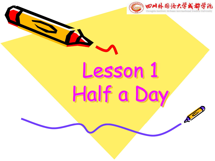

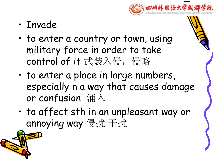

- Invade
- to enter a country or town, using military force in order to take control of it 武装入侵, 侵略
- to enter a place in large numbers, especially n a way that causes damage or confusion 涌入
- to affect sth in an unpleasant way or annoying way 侵扰 干扰

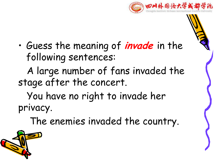

• Guess the meaning of **invade** in the following sentences:

A large number of fans invaded the stage after the concert.

You have no right to invade her privacy.

The enemies invaded the country.

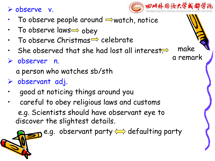Ø observe v.

- To observe people around  $\Rightarrow$  watch, notice  $\mathbb{N}\mathbb{N}$
- To observe laws $\Longrightarrow$  obey
- To observe Christmas $\Rightarrow$  celebrate
- She observed that she had lost all interest.
- Ø observer n.

a person who watches sb/sth

- $\triangleright$  observant adj.
- good at noticing things around you
- careful to obey religious laws and customs e.g. Scientists should have observant eye to discover the slightest details.

e.g. observant party  $\Longleftrightarrow$  defaulting party



make

a remark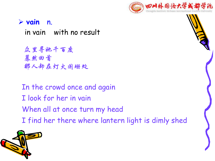

#### Ø **vain** n.

in vain with no result

众里寻她千百度 蓦然回首 那人却在灯火阑珊处

In the crowd once and again I look for her in vain When all at once turn my head I find her there where lantern light is dimly shed

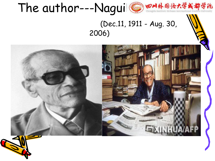

2006)



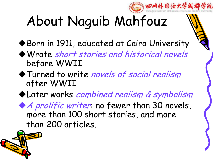

# About Naguib Mahfouz

◆ Born in 1911, educated at Cairo University

- uWrote short stories and historical novels before WWII
- Turned to write novels of social realism after WWII
- $\blacklozenge$  Later works combined realism & symbolism

 $\blacklozenge$  *A prolific writer*: no fewer than 30 novels, more than 100 short stories, and more than 200 articles.

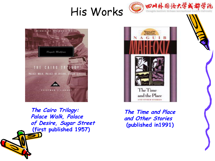# His Works Com 外围语大学或都学院





**The Cairo Trilogy: Palace Walk, Palace of Desire, Sugar Street (first published 1957)**



**The Time and Place and Other Stories (published in1991)**

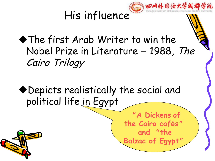

 $\blacklozenge$  The first Arab Writer to win the Nobel Prize in Literature – 1988, The Cairo Trilogy

◆ Depicts realistically the social and political life in Egypt

> "**A Dickens of the Cairo cafés**" **and** "**the Balzac of Egypt**"

3 四川外围语大学或都学说

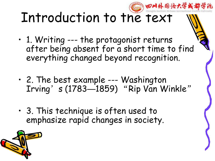### 四川外围语大学或 Introduction to the text

- 1. Writing --- the protagonist returns after being absent for a short time to find everything changed beyond recognition.
- 2. The best example --- Washington Irving's (1783—1859) "Rip Van Winkle"
- 3. This technique is often used to emphasize rapid changes in society.

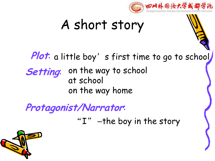

## A short story

**Plot**: a little boy's first time to go to school

**Setting**: on the way to school at school on the way home

**Protagonist/Narrator**:

" $I"$  –the boy in the story

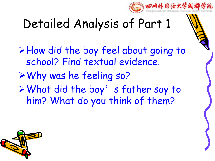

## Detailed Analysis of Part 1

ØHow did the boy feel about going to school? Find textual evidence. ØWhy was he feeling so?  $\triangleright$  What did the boy's father say to him? What do you think of them?

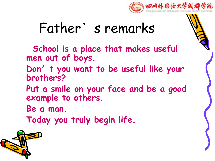

## Father's remarks

**School is a place that makes useful men out of boys.**

- **Don**'**t you want to be useful like your brothers?**
- **Put a smile on your face and be a good example to others.**
- **Be a man.**
- **Today you truly begin life.**

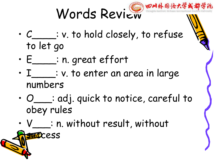

- C\_\_\_\_: v. to hold closely, to refuse to let go
- E\_\_\_\_: n. great effort

**D**Cess

- $\cdot$   $I$   $\frac{1}{1}$   $\cdot$  v. to enter an area in large numbers
- O\_\_\_: adj. quick to notice, careful to obey rules
- V\_\_\_: n. without result, without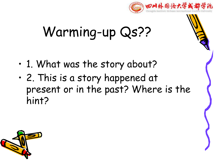

# Warming-up Qs??

- 1. What was the story about?
- 2. This is a story happened at present or in the past? Where is the hint?

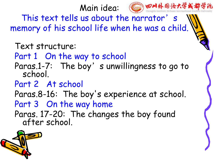

This text tells us about the narrator's memory of his school life when he was a child.

Text structure: Part 1 On the way to school Paras.1-7: The boy's unwillingness to go to school. Part 2 At school Paras.8-16: The boy's experience at school. Part 3 On the way home Paras. 17-20: The changes the boy found after school.

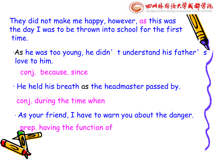

They did not make me happy, however, as this was the day I was to be thrown into school for the first time.

- ·As he was too young, he didn't understand his father' love to him. conj. because. since
- · He held his breath as the headmaster passed by. conj. during the time when
- · As your friend, I have to warn you about the danger.

prep. having the function of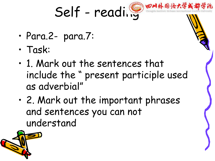

- Para.2- para.7:
- Task:
- 1. Mark out the sentences that include the " present participle used as adverbial"
- 2. Mark out the important phrases and sentences you can not understand

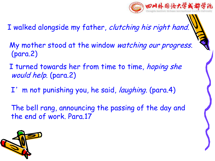

- I walked alongside my father, clutching his right hand.
- My mother stood at the window watching our progress. (para.2)
- I turned towards her from time to time, hoping she would help. (para.2)
	- I' m not punishing you, he said, *laughing*. (para.4)
- The bell rang, announcing the passing of the day and the end of work. Para.17

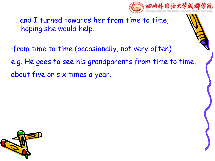

... and I turned towards her from time to time, hoping she would help.

·from time to time (occasionally, not very often) e.g. He goes to see his grandparents from time to time, about five or six times a year.

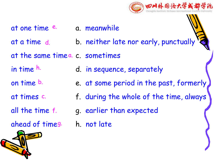

- at one time e. a. meanwhile e.
- at a time d. b. neither late nor early, punctually  $\mathbf{Q}$ at a time d.
- at the same timea. c. sometimes
- in time d. in sequence, separately
- on time <sup>b.</sup> e. at some period in the past, formerly **J** h.<br>b.<br>**s** c.
- at times c. The f. during the whole of the time, always
- all the time f. g. earlier than expected
- ahead of time g.h. not late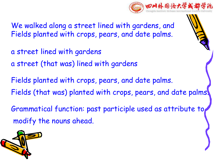

We walked along a street lined with gardens, and Fields planted with crops, pears, and date palms.

- a street lined with gardens a street (that was) lined with gardens
- 
- Grammatical function: past participle used as attribute to Fields planted with crops, pears, and date palms.<br>Fields (that was) planted with crops, pears, and date palms.<br>Grammatical function: past participle used as attribute to<br>modify the nouns ahead.

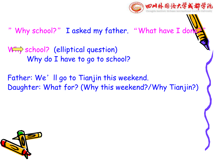

" Why school?" I asked my father. "What have I do

W<sub>11</sub> school? (elliptical question) Why do I have to go to school?

Father: We'll go to Tianjin this weekend. Daughter: What for? (Why this weekend?/Why Tianjin?)

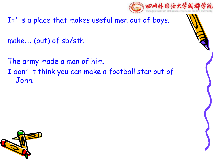

It's a place that makes useful men out of boys.

make… (out) of sb/sth.

The army made a man of him.

I don't think you can make a football star out of John.

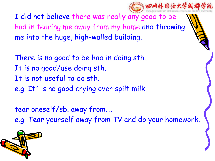

I did not believe there was really any good to be had in tearing me away from my home and throwing me into the huge, high-walled building.

There is no good to be had in doing sth. It is no good/use doing sth. It is not useful to do sth. e.g. It's no good crying over spilt milk.

tear oneself/sb. away from…

e.g. Tear yourself away from TV and do your homework.

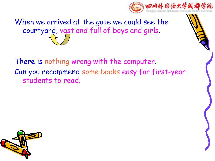

When we arrived at the gate we could see the courtyard, vast and full of boys and girls.

There is nothing wrong with the computer. Can you recommend some books easy for first-year students to read.

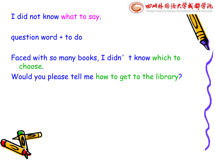

I did not know what to say.

question word + to do

Faced with so many books, I didn't know which to choose. Would you please tell me how to get to the library?

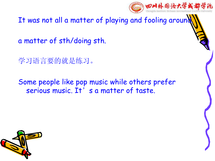

It was not all a matter of playing and fooling around

a matter of sth/doing sth.

学习语言要的就是练习。

Some people like pop music while others prefer serious music. It's a matter of taste.

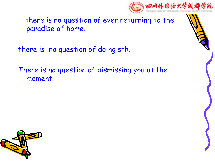…there is no question of ever returning to the paradise of home.

there is no question of doing sth.

There is no question of dismissing you at the moment.



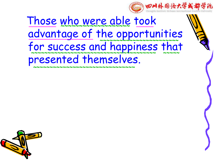

#### Those who were able took **\_\_\_\_\_\_\_\_ \_\_\_\_\_** <u>advantage of the opportunities</u> for success and happiness that presented themselves. **~~~~~~~~~~~~~~~~~~~~~~~~ ~~~~~~~~~~~~~~~~~~~~~~~~~~~~~~~~~~~~~~ ~~~~~**

~~~~~~~~~~~~~~~~~~~~~~~~~~~<mark>~</mark>~

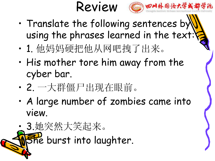



- Translate the following sentences by using the phrases learned in the text:
- 1. 他妈妈硬把他从网吧拽了出来。
- His mother tore him away from the cyber bar.
- 2. 一大群僵尸出现在眼前。
- A large number of zombies came into view.
- 3.她突然大笑起来。 **She burst into laughter.**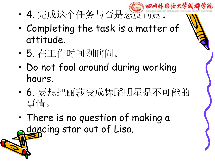- 四川外围语大学成 • 4. 完成这个任务与否是态度问题。
- Completing the task is a matter of attitude.
- 5. 在工作时间别瞎闹。
- Do not fool around during working hours.
- 6. 要想把丽莎变成舞蹈明星是不可能的 事情。
- There is no question of making a dancing star out of Lisa.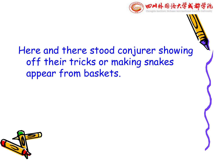

#### Here and there stood conjurer showing off their tricks or making snakes appear from baskets.

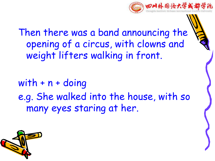

Then there was a band announcing the opening of a circus, with clowns and weight lifters walking in front.

with  $+ n +$  doing e.g. She walked into the house, with so many eyes staring at her.

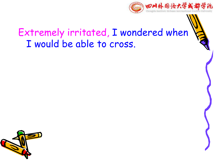

#### Extremely irritated, I wondered when I would be able to cross.

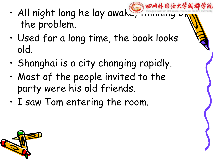- 四川外围治大学 • All night long he lay awake, the problem.
- Used for a long time, the book looks old.
- Shanghai is a city changing rapidly.
- Most of the people invited to the party were his old friends.
- I saw Tom entering the room.

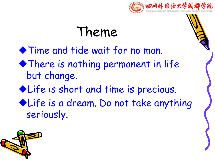

## Theme

 $\blacklozenge$  Time and tide wait for no man.

- $\blacklozenge$  There is nothing permanent in life but change.
- Elife is short and time is precious.
- ◆ Life is a dream. Do not take anything seriously.

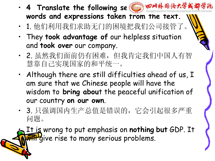- 4 Translate the following se **words and expressions taken from the text.**
- 1. 他们利用我们求助无门的困境把我们公司接管了。
- They **took advantage of** our helpless situation and **took over** our company.
- 2. 虽然我们面前仍有困难,但我肯定我们中国人有智 慧靠自己实现国家的和平统一。
- Although there are still difficulties ahead of us, I am sure that we Chinese people will have the wisdom to **bring abou**t the peaceful unification of our country **on our own**.
- 3. 只强调国内生产总值是错误的,它会引起很多严重 问题。

• It is wrong to put emphasis on **nothing but** GDP. It **Will** give rise to many serious problems.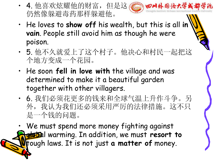- 4. 他喜欢炫耀他的财富, 但是这产高的四川外国语大学或都学院 仍然像躲避毒药那样躲避他。
- He loves to **show off** his wealth, but this is all **in vain**. People still avoid him as though he were poison.
- 5. 他不久就爱上了这个村子。他决心和村民一起把这 个地方变成一个花园。
- He soon **fell in love with** the village and was determined to make it a beautiful garden together with other villagers.
- 6. 我们必须花更多的钱来和全球气温上升作斗争。另 外,我认为我们还必须采用严厉的法律措施。这不只 是一个钱的问题。

• We must spend more money fighting against **global** warming. In addition, we must resort to tough laws. It is not just **a matter of** money.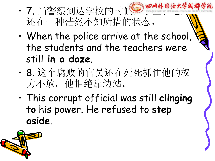- 7. 当警察到达学校的时候, 曾 8 8 4 6 法大学 还在一种茫然不知所措的状态。
- When the police arrive at the school, the students and the teachers were still **in a daze**.
- 8. 这个腐败的官员还在死死抓住他的权 力不放。他拒绝靠边站。
- This corrupt official was still **clinging to** his power. He refused to **step aside**.

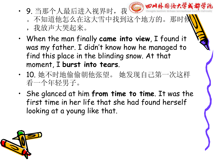

- 9. 当那个人最后进入视界时,我觉到 。不知道他怎么在这大雪中找到这个地方的。那时候
	- ,我放声大哭起来。
- When the man finally **came into view**, I found it was my father. I didn't know how he managed to find this place in the blinding snow. At that moment, I **burst into tears**.
- 10. 她不时地偷偷朝他张望。 她发现自己第一次这样 看一个年轻男子。
- She glanced at him **from time to time**. It was the first time in her life that she had found herself looking at a young like that.

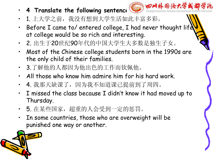- **4 Translate the following sentence <b>into** 田川外国语大学或都学院
	-
- 1. 上大学之前, 我没有想到大学生活如此丰富多彩。
- Before I came to/ entered college, I had never thought life at college would be so rich and interesting.
- 2. 出生于20世纪90年代的中国大学生大多数是独生子女。
- Most of the Chinese college students born in the 1990s are the only child of their families.
- 3.了解他的人都因为他出色的工作而钦佩他。
- All those who know him admire him for his hard work.
- 4. 我那天缺课了,因为我不知道课已提前到了周四。
- I missed the class because I didn't know it had moved up to Thursday.
- 5. 在某些国家, 超重的人会受到一定的惩罚。
- In some countries, those who are overweight will be punished one way or another.

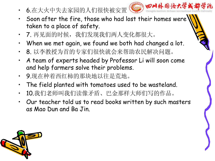6.在大火中失去家园的人们很快被安置 @ @ @ N 外 的论大学的



- Soon after the fire, those who had lost their homes were taken to a place of safety.
- 7. 再见面的时候,我们发现我们两人变化都很大。
- When we met again, we found we both had changed a lot.
- 8. 以李教授为首的专家们很快就会来帮助农民解决问题。
- A team of experts headed by Professor Li will soon come and help farmers solve their problems.
- 9.现在种着西红柿的那块地以往是荒地。
- The field planted with tomatoes used to be wasteland.
- 10.我们老师叫我们读像矛盾、巴金那样大师们写的作品。
- Our teacher told us to read books written by such masters as Mao Dun and BaJin.